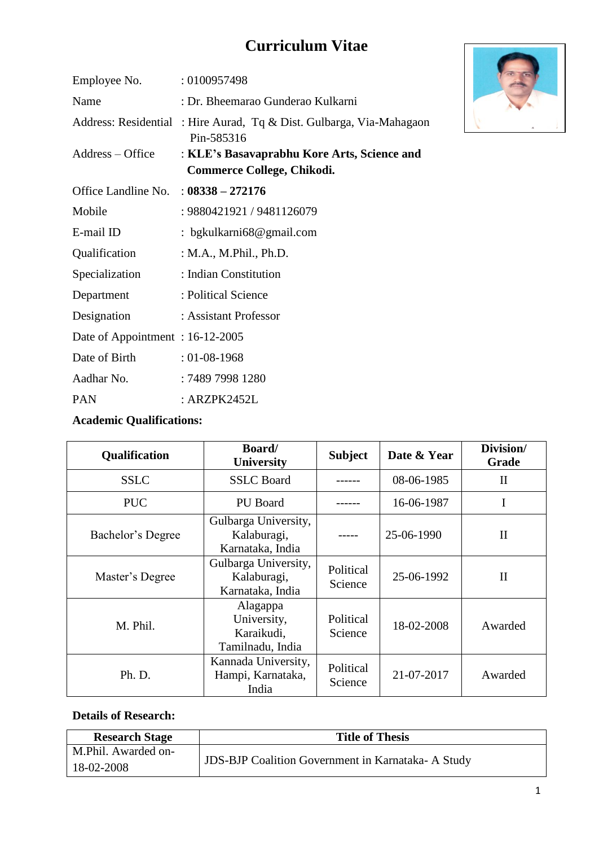# **Curriculum Vitae**

| Employee No.                    | : 0100957498                                                                      |
|---------------------------------|-----------------------------------------------------------------------------------|
| Name                            | : Dr. Bheemarao Gunderao Kulkarni                                                 |
|                                 | Address: Residential: Hire Aurad, Tq & Dist. Gulbarga, Via-Mahagaon<br>Pin-585316 |
| Address – Office                | : KLE's Basavaprabhu Kore Arts, Science and<br>Commerce College, Chikodi.         |
| Office Landline No.             | $: 08338 - 272176$                                                                |
| Mobile                          | : 9880421921 / 9481126079                                                         |
| E-mail ID                       | : bgkulkarni $68@$ gmail.com                                                      |
| Qualification                   | : M.A., M.Phil., Ph.D.                                                            |
| Specialization                  | : Indian Constitution                                                             |
| Department                      | : Political Science                                                               |
| Designation                     | : Assistant Professor                                                             |
| Date of Appointment: 16-12-2005 |                                                                                   |
| Date of Birth                   | $: 01 - 08 - 1968$                                                                |
| Aadhar No.                      | : 7489 7998 1280                                                                  |
| <b>PAN</b>                      | : ARZPK2452L                                                                      |

## **Academic Qualifications:**

| <b>Qualification</b> | <b>Board</b> /<br><b>University</b>                       | <b>Subject</b>       | Date & Year | Division/<br>Grade |
|----------------------|-----------------------------------------------------------|----------------------|-------------|--------------------|
| <b>SSLC</b>          | <b>SSLC</b> Board                                         |                      | 08-06-1985  | $\mathbf{I}$       |
| <b>PUC</b>           | PU Board                                                  |                      | 16-06-1987  |                    |
| Bachelor's Degree    | Gulbarga University,<br>Kalaburagi,<br>Karnataka, India   |                      | 25-06-1990  | $\mathbf{I}$       |
| Master's Degree      | Gulbarga University,<br>Kalaburagi,<br>Karnataka, India   | Political<br>Science | 25-06-1992  | $\mathbf{I}$       |
| M. Phil.             | Alagappa<br>University,<br>Karaikudi,<br>Tamilnadu, India | Political<br>Science | 18-02-2008  | Awarded            |
| Ph. D.               | Kannada University,<br>Hampi, Karnataka,<br>India         | Political<br>Science | 21-07-2017  | Awarded            |

#### **Details of Research:**

| <b>Research Stage</b> | <b>Title of Thesis</b>                                   |
|-----------------------|----------------------------------------------------------|
| M.Phil. Awarded on-   |                                                          |
| $18-02-2008$          | <b>JDS-BJP Coalition Government in Karnataka-A Study</b> |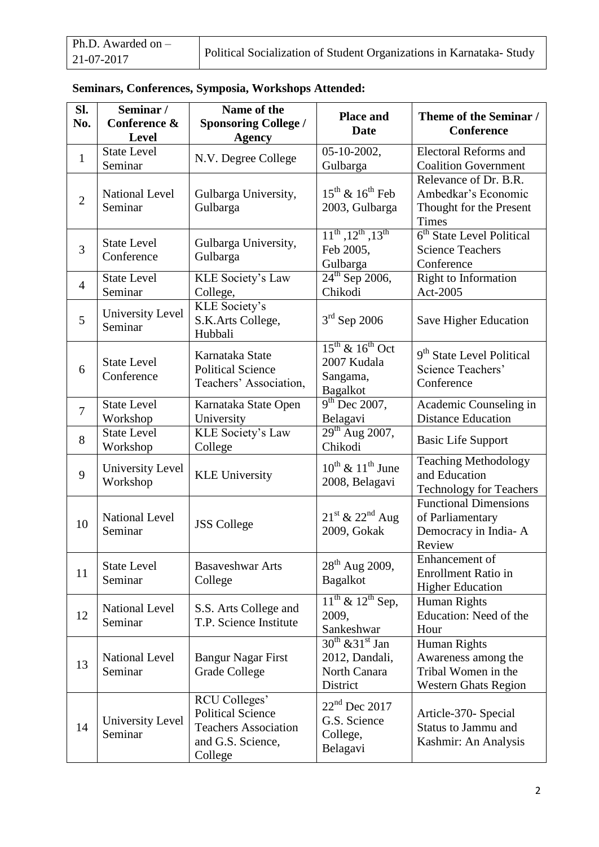| Ph.D. Awarded on $-$ |                                                                     |
|----------------------|---------------------------------------------------------------------|
| 21-07-2017           | Political Socialization of Student Organizations in Karnataka-Study |

| SI.<br>No.     | Seminar /<br>Conference &<br><b>Level</b> | Name of the<br><b>Sponsoring College /</b><br><b>Agency</b>                                              | <b>Place and</b><br><b>Date</b>                                         | Theme of the Seminar /<br><b>Conference</b>                                               |
|----------------|-------------------------------------------|----------------------------------------------------------------------------------------------------------|-------------------------------------------------------------------------|-------------------------------------------------------------------------------------------|
| $\mathbf{1}$   | <b>State Level</b><br>Seminar             | N.V. Degree College                                                                                      | 05-10-2002,<br>Gulbarga                                                 | <b>Electoral Reforms and</b><br><b>Coalition Government</b>                               |
| $\overline{2}$ | <b>National Level</b><br>Seminar          | Gulbarga University,<br>Gulbarga                                                                         | $15^{th}$ & $16^{th}$ Feb<br>2003, Gulbarga                             | Relevance of Dr. B.R.<br>Ambedkar's Economic<br>Thought for the Present<br>Times          |
| 3              | <b>State Level</b><br>Conference          | Gulbarga University,<br>Gulbarga                                                                         | $11^{th}$ , $12^{th}$ , $13^{th}$<br>Feb 2005,<br>Gulbarga              | 6 <sup>th</sup> State Level Political<br><b>Science Teachers</b><br>Conference            |
| $\overline{4}$ | <b>State Level</b><br>Seminar             | <b>KLE</b> Society's Law<br>College,                                                                     | $24^{\text{th}}$ Sep 2006,<br>Chikodi                                   | Right to Information<br>Act-2005                                                          |
| 5              | University Level<br>Seminar               | KLE Society's<br>S.K.Arts College,<br>Hubbali                                                            | $3rd$ Sep 2006                                                          | Save Higher Education                                                                     |
| 6              | <b>State Level</b><br>Conference          | Karnataka State<br><b>Political Science</b><br>Teachers' Association,                                    | $15^{th}$ & $16^{th}$ Oct<br>2007 Kudala<br>Sangama,<br><b>Bagalkot</b> | 9 <sup>th</sup> State Level Political<br>Science Teachers'<br>Conference                  |
| $\overline{7}$ | <b>State Level</b><br>Workshop            | Karnataka State Open<br>University                                                                       | $9th$ Dec 2007,<br>Belagavi                                             | Academic Counseling in<br><b>Distance Education</b>                                       |
| 8              | <b>State Level</b><br>Workshop            | <b>KLE</b> Society's Law<br>College                                                                      | $29^{\text{th}}$ Aug 2007,<br>Chikodi                                   | <b>Basic Life Support</b>                                                                 |
| 9              | University Level<br>Workshop              | <b>KLE University</b>                                                                                    | $10^{th}$ & $11^{th}$ June<br>2008, Belagavi                            | <b>Teaching Methodology</b><br>and Education<br><b>Technology for Teachers</b>            |
| 10             | <b>National Level</b><br>Seminar          | <b>JSS</b> College                                                                                       | $21st$ & $22nd$ Aug<br>2009, Gokak                                      | <b>Functional Dimensions</b><br>of Parliamentary<br>Democracy in India-A<br>Review        |
| 11             | <b>State Level</b><br>Seminar             | <b>Basaveshwar Arts</b><br>College                                                                       | $28^{th}$ Aug 2009,<br><b>Bagalkot</b>                                  | Enhancement of<br><b>Enrollment Ratio in</b><br><b>Higher Education</b>                   |
| 12             | <b>National Level</b><br>Seminar          | S.S. Arts College and<br>T.P. Science Institute                                                          | $11^{th}$ & $12^{th}$ Sep,<br>2009,<br>Sankeshwar                       | Human Rights<br>Education: Need of the<br>Hour                                            |
| 13             | <b>National Level</b><br>Seminar          | <b>Bangur Nagar First</b><br><b>Grade College</b>                                                        | $30^{th}$ & $31^{st}$ Jan<br>2012, Dandali,<br>North Canara<br>District | Human Rights<br>Awareness among the<br>Tribal Women in the<br><b>Western Ghats Region</b> |
| 14             | University Level<br>Seminar               | RCU Colleges'<br><b>Political Science</b><br><b>Teachers Association</b><br>and G.S. Science,<br>College | $22nd$ Dec 2017<br>G.S. Science<br>College,<br>Belagavi                 | Article-370- Special<br><b>Status to Jammu and</b><br>Kashmir: An Analysis                |

|  | Seminars, Conferences, Symposia, Workshops Attended: |  |  |  |
|--|------------------------------------------------------|--|--|--|
|--|------------------------------------------------------|--|--|--|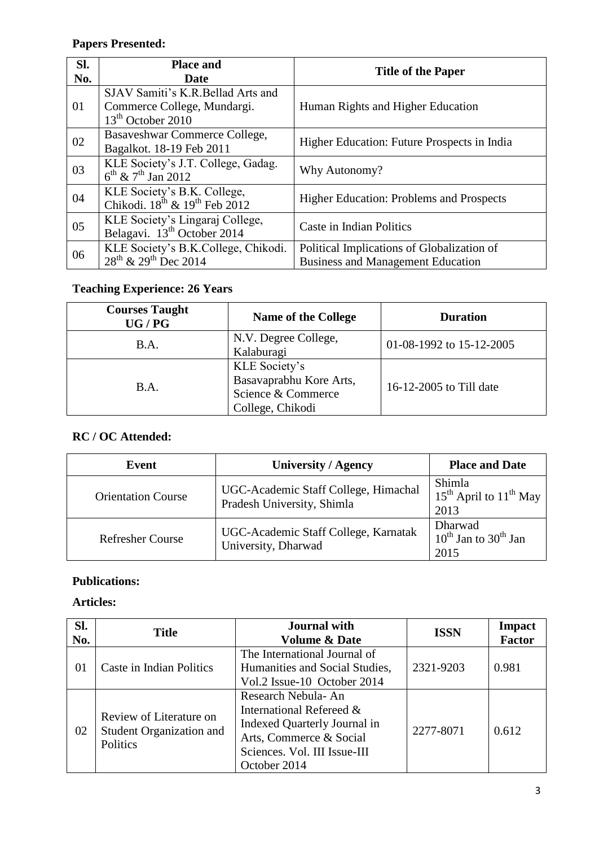# **Papers Presented:**

| Sl.<br>No. | <b>Place and</b><br>Date                                                                          | <b>Title of the Paper</b>                                                              |
|------------|---------------------------------------------------------------------------------------------------|----------------------------------------------------------------------------------------|
| 01         | SJAV Samiti's K.R.Bellad Arts and<br>Commerce College, Mundargi.<br>13 <sup>th</sup> October 2010 | Human Rights and Higher Education                                                      |
| 02         | Basaveshwar Commerce College,<br>Bagalkot. 18-19 Feb 2011                                         | Higher Education: Future Prospects in India                                            |
| 03         | KLE Society's J.T. College, Gadag.<br>$6^{th}$ & $7^{th}$ Jan 2012                                | Why Autonomy?                                                                          |
| 04         | KLE Society's B.K. College,<br>Chikodi. $18^{th}$ & $19^{th}$ Feb 2012                            | <b>Higher Education: Problems and Prospects</b>                                        |
| 05         | KLE Society's Lingaraj College,<br>Belagavi. 13 <sup>th</sup> October 2014                        | Caste in Indian Politics                                                               |
| 06         | KLE Society's B.K.College, Chikodi.<br>$28^{th}$ & $29^{th}$ Dec 2014                             | Political Implications of Globalization of<br><b>Business and Management Education</b> |

## **Teaching Experience: 26 Years**

| <b>Courses Taught</b><br>UG/PG | <b>Name of the College</b>                                                         | <b>Duration</b>          |
|--------------------------------|------------------------------------------------------------------------------------|--------------------------|
| B.A.                           | N.V. Degree College,<br>Kalaburagi                                                 | 01-08-1992 to 15-12-2005 |
| B.A.                           | KLE Society's<br>Basavaprabhu Kore Arts,<br>Science & Commerce<br>College, Chikodi | 16-12-2005 to Till date  |

## **RC / OC Attended:**

| Event                     | University / Agency                                                | <b>Place and Date</b>                             |
|---------------------------|--------------------------------------------------------------------|---------------------------------------------------|
| <b>Orientation Course</b> | UGC-Academic Staff College, Himachal<br>Pradesh University, Shimla | Shimla<br>$15th$ April to $11th$ May<br>2013      |
| <b>Refresher Course</b>   | UGC-Academic Staff College, Karnatak<br>University, Dharwad        | Dharwad<br>$10^{th}$ Jan to $30^{th}$ Jan<br>2015 |

## **Publications:**

## **Articles:**

| Sl.<br>No. | <b>Title</b>                                                    | <b>Journal</b> with<br><b>Volume &amp; Date</b>                                                                                                           | <b>ISSN</b> | <b>Impact</b><br><b>Factor</b> |
|------------|-----------------------------------------------------------------|-----------------------------------------------------------------------------------------------------------------------------------------------------------|-------------|--------------------------------|
| 01         | Caste in Indian Politics                                        | The International Journal of<br>Humanities and Social Studies,<br>Vol.2 Issue-10 October 2014                                                             | 2321-9203   | 0.981                          |
| 02         | Review of Literature on<br>Student Organization and<br>Politics | Research Nebula-An<br>International Refereed &<br>Indexed Quarterly Journal in<br>Arts, Commerce & Social<br>Sciences. Vol. III Issue-III<br>October 2014 | 2277-8071   | 0.612                          |